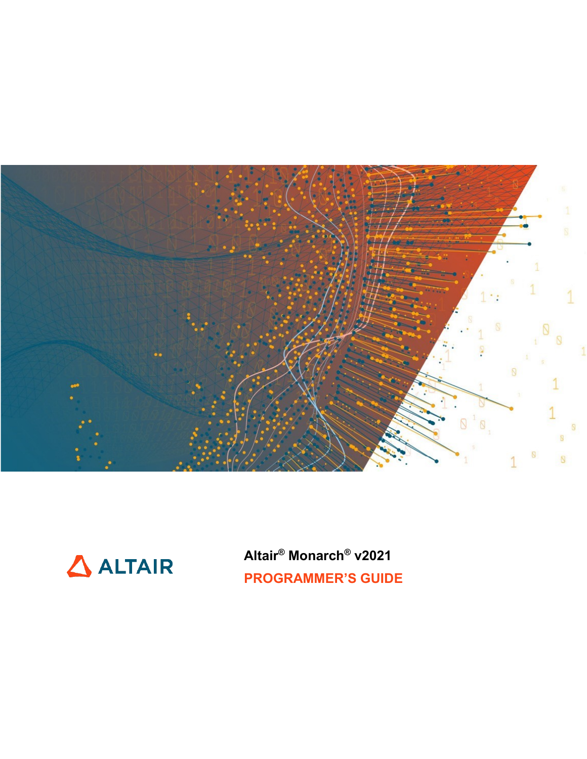



**Altair® Monarch® v2021 PROGRAMMER'S GUIDE**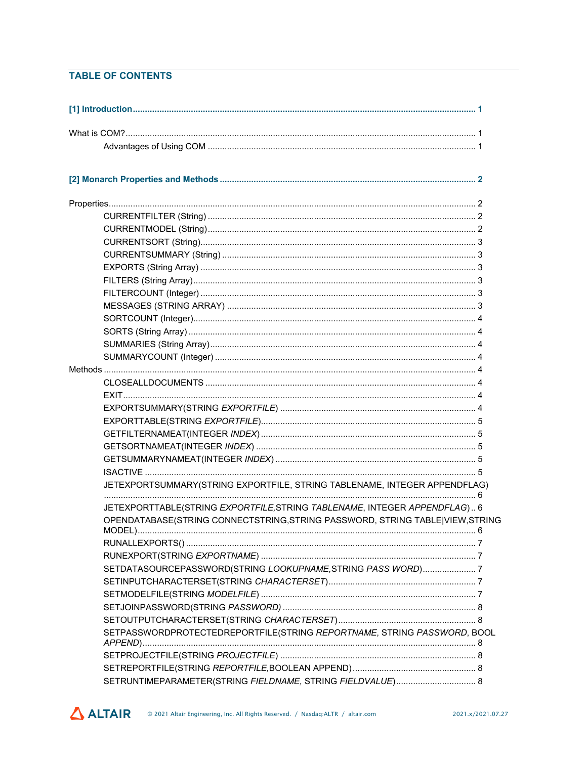#### **TABLE OF CONTENTS**

|  | JETEXPORTSUMMARY(STRING EXPORTFILE, STRING TABLENAME, INTEGER APPENDFLAG)                |  |
|--|------------------------------------------------------------------------------------------|--|
|  | JETEXPORTTABLE(STRING EXPORTFILE, STRING TABLENAME, INTEGER APPENDFLAG) 6                |  |
|  | OPENDATABASE(STRING CONNECTSTRING, STRING PASSWORD, STRING TABLE VIEW, STRING<br>MODEL). |  |
|  |                                                                                          |  |
|  |                                                                                          |  |
|  | SETDATASOURCEPASSWORD(STRING LOOKUPNAME, STRING PASS WORD)7                              |  |
|  |                                                                                          |  |
|  |                                                                                          |  |
|  |                                                                                          |  |
|  |                                                                                          |  |
|  | SETPASSWORDPROTECTEDREPORTFILE(STRING REPORTNAME, STRING PASSWORD, BOOL                  |  |
|  |                                                                                          |  |
|  |                                                                                          |  |
|  | SETRUNTIMEPARAMETER(STRING FIELDNAME, STRING FIELDVALUE) 8                               |  |

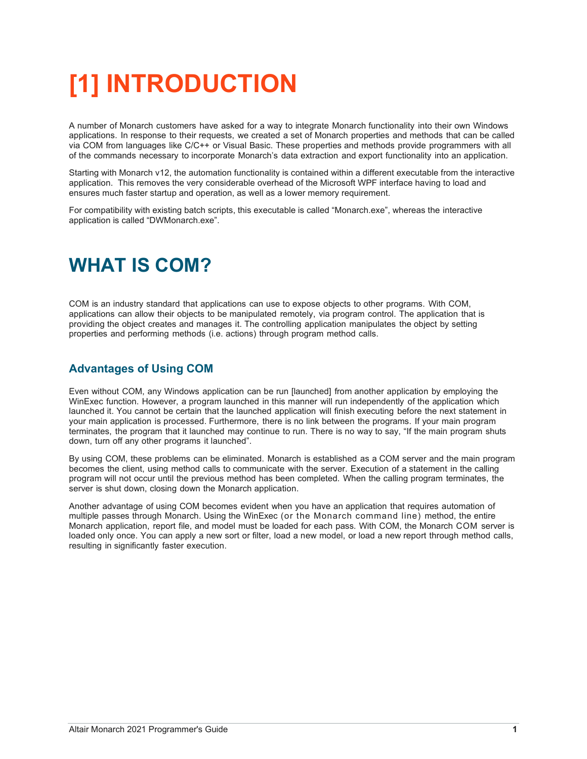# <span id="page-4-0"></span>**[1] INTRODUCTION**

A number of Monarch customers have asked for a way to integrate Monarch functionality into their own Windows applications. In response to their requests, we created a set of Monarch properties and methods that can be called via COM from languages like C/C++ or Visual Basic. These properties and methods provide programmers with all of the commands necessary to incorporate Monarch's data extraction and export functionality into an application.

Starting with Monarch v12, the automation functionality is contained within a different executable from the interactive application. This removes the very considerable overhead of the Microsoft WPF interface having to load and ensures much faster startup and operation, as well as a lower memory requirement.

For compatibility with existing batch scripts, this executable is called "Monarch.exe", whereas the interactive application is called "DWMonarch.exe".

## <span id="page-4-1"></span>**WHAT IS COM?**

COM is an industry standard that applications can use to expose objects to other programs. With COM, applications can allow their objects to be manipulated remotely, via program control. The application that is providing the object creates and manages it. The controlling application manipulates the object by setting properties and performing methods (i.e. actions) through program method calls.

#### <span id="page-4-2"></span>**Advantages of Using COM**

Even without COM, any Windows application can be run [launched] from another application by employing the WinExec function. However, a program launched in this manner will run independently of the application which launched it. You cannot be certain that the launched application will finish executing before the next statement in your main application is processed. Furthermore, there is no link between the programs. If your main program terminates, the program that it launched may continue to run. There is no way to say, "If the main program shuts down, turn off any other programs it launched".

By using COM, these problems can be eliminated. Monarch is established as a COM server and the main program becomes the client, using method calls to communicate with the server. Execution of a statement in the calling program will not occur until the previous method has been completed. When the calling program terminates, the server is shut down, closing down the Monarch application.

Another advantage of using COM becomes evident when you have an application that requires automation of multiple passes through Monarch. Using the WinExec (or the Monarch command line) method, the entire Monarch application, report file, and model must be loaded for each pass. With COM, the Monarch COM server is loaded only once. You can apply a new sort or filter, load a new model, or load a new report through method calls, resulting in significantly faster execution.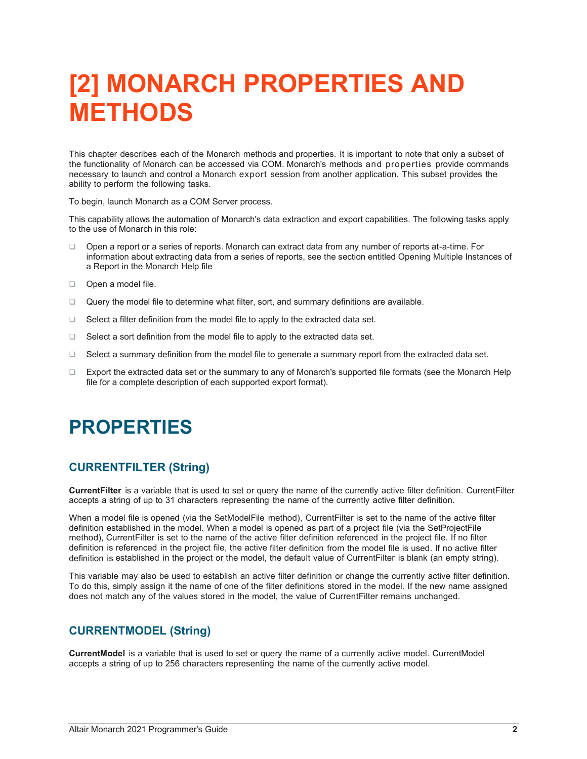## <span id="page-5-0"></span>**[2] MONARCH PROPERTIES AND METHODS**

This chapter describes each of the Monarch methods and properties. It is important to note that only a subset of the functionality of Monarch can be accessed via COM. Monarch's methods and properties provide commands necessary to launch and control a Monarch export session from another application. This subset provides the ability to perform the following tasks.

To begin, launch Monarch as a COM Server process.

This capability allows the automation of Monarch's data extraction and export capabilities. The following tasks apply to the use of Monarch in this role:

- ❑ Open a report or a series of reports. Monarch can extract data from any number of reports at-a-time. For information about extracting data from a series of reports, see the section entitled Opening Multiple Instances of a Report in the Monarch Help file
- ❑ Open a model file.
- ❑ Query the model file to determine what filter, sort, and summary definitions are available.
- ❑ Select a filter definition from the model file to apply to the extracted data set.
- ❑ Select a sort definition from the model file to apply to the extracted data set.
- ❑ Select a summary definition from the model file to generate a summary report from the extracted data set.
- ❑ Export the extracted data set or the summary to any of Monarch's supported file formats (see the Monarch Help file for a complete description of each supported export format).

## <span id="page-5-1"></span>**PROPERTIES**

#### <span id="page-5-2"></span>**CURRENTFILTER (String)**

**CurrentFilter** is a variable that is used to set or query the name of the currently active filter definition. CurrentFilter accepts a string of up to 31 characters representing the name of the currently active filter definition.

When a model file is opened (via the SetModelFile method), CurrentFilter is set to the name of the active filter definition established in the model. When a model is opened as part of a project file (via the SetProjectFile method), CurrentFilter is set to the name of the active filter definition referenced in the project file. If no filter definition is referenced in the project file, the active filter definition from the model file is used. If no active filter definition is established in the project or the model, the default value of CurrentFilter is blank (an empty string).

This variable may also be used to establish an active filter definition or change the currently active filter definition. To do this, simply assign it the name of one of the filter definitions stored in the model. If the new name assigned does not match any of the values stored in the model, the value of CurrentFilter remains unchanged.

#### <span id="page-5-3"></span>**CURRENTMODEL (String)**

**CurrentModel** is a variable that is used to set or query the name of a currently active model. CurrentModel accepts a string of up to 256 characters representing the name of the currently active model.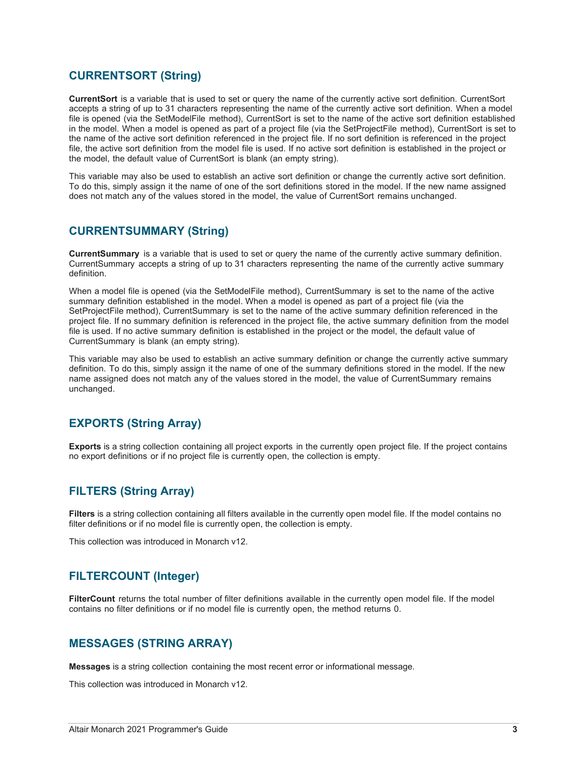#### <span id="page-6-0"></span>**CURRENTSORT (String)**

**CurrentSort** is a variable that is used to set or query the name of the currently active sort definition. CurrentSort accepts a string of up to 31 characters representing the name of the currently active sort definition. When a model file is opened (via the SetModelFile method), CurrentSort is set to the name of the active sort definition established in the model. When a model is opened as part of a project file (via the SetProjectFile method), CurrentSort is set to the name of the active sort definition referenced in the project file. If no sort definition is referenced in the project file, the active sort definition from the model file is used. If no active sort definition is established in the project or the model, the default value of CurrentSort is blank (an empty string).

This variable may also be used to establish an active sort definition or change the currently active sort definition. To do this, simply assign it the name of one of the sort definitions stored in the model. If the new name assigned does not match any of the values stored in the model, the value of CurrentSort remains unchanged.

#### <span id="page-6-1"></span>**CURRENTSUMMARY (String)**

**CurrentSummary** is a variable that is used to set or query the name of the currently active summary definition. CurrentSummary accepts a string of up to 31 characters representing the name of the currently active summary definition.

When a model file is opened (via the SetModelFile method), CurrentSummary is set to the name of the active summary definition established in the model. When a model is opened as part of a project file (via the SetProjectFile method), CurrentSummary is set to the name of the active summary definition referenced in the project file. If no summary definition is referenced in the project file, the active summary definition from the model file is used. If no active summary definition is established in the project or the model, the default value of CurrentSummary is blank (an empty string).

This variable may also be used to establish an active summary definition or change the currently active summary definition. To do this, simply assign it the name of one of the summary definitions stored in the model. If the new name assigned does not match any of the values stored in the model, the value of CurrentSummary remains unchanged.

#### <span id="page-6-2"></span>**EXPORTS (String Array)**

**Exports** is a string collection containing all project exports in the currently open project file. If the project contains no export definitions or if no project file is currently open, the collection is empty.

#### <span id="page-6-3"></span>**FILTERS (String Array)**

**Filters** is a string collection containing all filters available in the currently open model file. If the model contains no filter definitions or if no model file is currently open, the collection is empty.

<span id="page-6-4"></span>This collection was introduced in Monarch v12.

#### **FILTERCOUNT (Integer)**

**FilterCount** returns the total number of filter definitions available in the currently open model file. If the model contains no filter definitions or if no model file is currently open, the method returns 0.

#### <span id="page-6-5"></span>**MESSAGES (STRING ARRAY)**

**Messages** is a string collection containing the most recent error or informational message.

This collection was introduced in Monarch v12.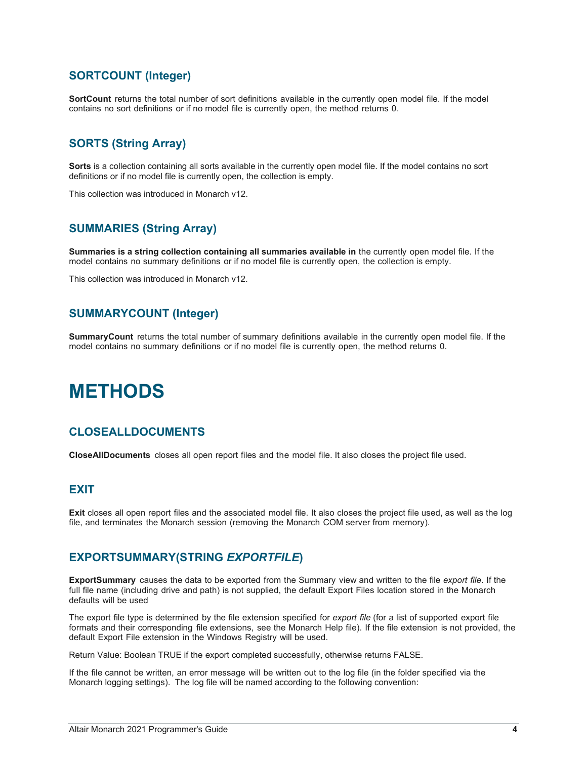#### <span id="page-7-0"></span>**SORTCOUNT (Integer)**

**SortCount** returns the total number of sort definitions available in the currently open model file. If the model contains no sort definitions or if no model file is currently open, the method returns 0.

#### <span id="page-7-1"></span>**SORTS (String Array)**

**Sorts** is a collection containing all sorts available in the currently open model file. If the model contains no sort definitions or if no model file is currently open, the collection is empty.

This collection was introduced in Monarch v12.

#### <span id="page-7-2"></span>**SUMMARIES (String Array)**

**Summaries is a string collection containing all summaries available in** the currently open model file. If the model contains no summary definitions or if no model file is currently open, the collection is empty.

This collection was introduced in Monarch v12.

#### <span id="page-7-3"></span>**SUMMARYCOUNT (Integer)**

**SummaryCount** returns the total number of summary definitions available in the currently open model file. If the model contains no summary definitions or if no model file is currently open, the method returns 0.

### <span id="page-7-4"></span>**METHODS**

#### <span id="page-7-5"></span>**CLOSEALLDOCUMENTS**

**CloseAllDocuments** closes all open report files and the model file. It also closes the project file used.

#### <span id="page-7-6"></span>**EXIT**

**Exit** closes all open report files and the associated model file. It also closes the project file used, as well as the log file, and terminates the Monarch session (removing the Monarch COM server from memory).

#### <span id="page-7-7"></span>**EXPORTSUMMARY(STRING** *EXPORTFILE***)**

**ExportSummary** causes the data to be exported from the Summary view and written to the file *export file*. If the full file name (including drive and path) is not supplied, the default Export Files location stored in the Monarch defaults will be used

The export file type is determined by the file extension specified for *export file* (for a list of supported export file formats and their corresponding file extensions, see the Monarch Help file). If the file extension is not provided, the default Export File extension in the Windows Registry will be used.

Return Value: Boolean TRUE if the export completed successfully, otherwise returns FALSE.

If the file cannot be written, an error message will be written out to the log file (in the folder specified via the Monarch logging settings). The log file will be named according to the following convention: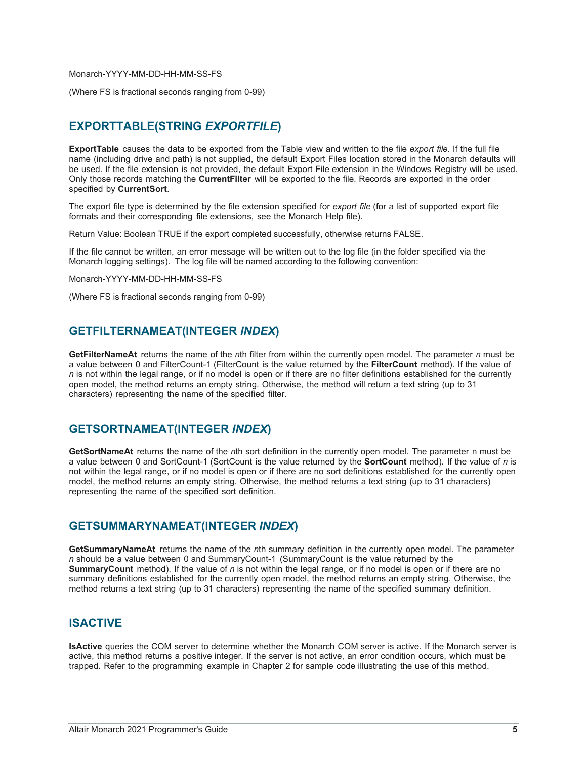Monarch-YYYY-MM-DD-HH-MM-SS-FS

(Where FS is fractional seconds ranging from 0-99)

#### <span id="page-8-0"></span>**EXPORTTABLE(STRING** *EXPORTFILE***)**

**ExportTable** causes the data to be exported from the Table view and written to the file *export file*. If the full file name (including drive and path) is not supplied, the default Export Files location stored in the Monarch defaults will be used. If the file extension is not provided, the default Export File extension in the Windows Registry will be used. Only those records matching the **CurrentFilter** will be exported to the file. Records are exported in the order specified by **CurrentSort**.

The export file type is determined by the file extension specified for *export file* (for a list of supported export file formats and their corresponding file extensions, see the Monarch Help file).

Return Value: Boolean TRUE if the export completed successfully, otherwise returns FALSE.

If the file cannot be written, an error message will be written out to the log file (in the folder specified via the Monarch logging settings). The log file will be named according to the following convention:

Monarch-YYYY-MM-DD-HH-MM-SS-FS

<span id="page-8-1"></span>(Where FS is fractional seconds ranging from 0-99)

#### **GETFILTERNAMEAT(INTEGER** *INDEX***)**

**GetFilterNameAt** returns the name of the *n*th filter from within the currently open model. The parameter *n* must be a value between 0 and FilterCount-1 (FilterCount is the value returned by the **FilterCount** method). If the value of *n* is not within the legal range, or if no model is open or if there are no filter definitions established for the currently open model, the method returns an empty string. Otherwise, the method will return a text string (up to 31 characters) representing the name of the specified filter.

#### <span id="page-8-2"></span>**GETSORTNAMEAT(INTEGER** *INDEX***)**

**GetSortNameAt** returns the name of the *n*th sort definition in the currently open model. The parameter n must be a value between 0 and SortCount-1 (SortCount is the value returned by the **SortCount** method). If the value of *n* is not within the legal range, or if no model is open or if there are no sort definitions established for the currently open model, the method returns an empty string. Otherwise, the method returns a text string (up to 31 characters) representing the name of the specified sort definition.

#### <span id="page-8-3"></span>**GETSUMMARYNAMEAT(INTEGER** *INDEX***)**

**GetSummaryNameAt** returns the name of the *n*th summary definition in the currently open model. The parameter *n* should be a value between 0 and SummaryCount-1 (SummaryCount is the value returned by the **SummaryCount** method). If the value of *n* is not within the legal range, or if no model is open or if there are no summary definitions established for the currently open model, the method returns an empty string. Otherwise, the method returns a text string (up to 31 characters) representing the name of the specified summary definition.

#### <span id="page-8-4"></span>**ISACTIVE**

**IsActive** queries the COM server to determine whether the Monarch COM server is active. If the Monarch server is active, this method returns a positive integer. If the server is not active, an error condition occurs, which must be trapped. Refer to the programming example in Chapter 2 for sample code illustrating the use of this method.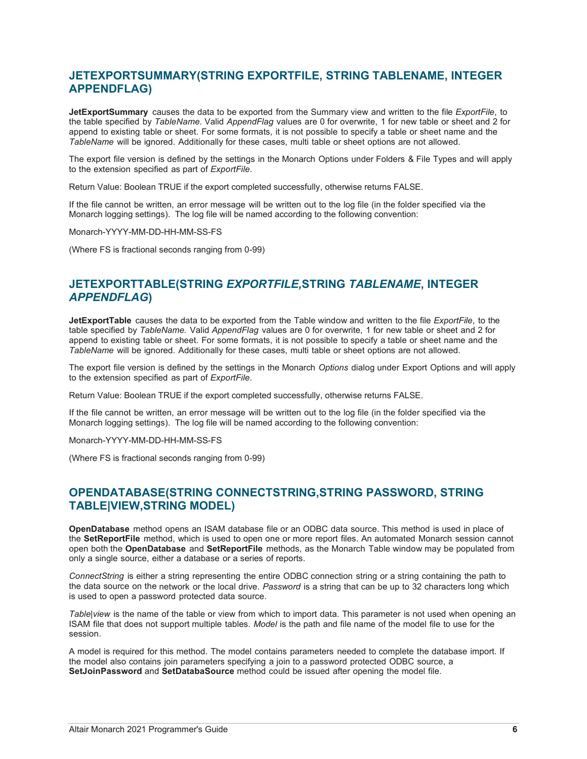#### <span id="page-9-0"></span>**JETEXPORTSUMMARY(STRING EXPORTFILE, STRING TABLENAME, INTEGER APPENDFLAG)**

**JetExportSummary** causes the data to be exported from the Summary view and written to the file *ExportFile*, to the table specified by *TableName.* Valid *AppendFlag* values are 0 for overwrite, 1 for new table or sheet and 2 for append to existing table or sheet. For some formats, it is not possible to specify a table or sheet name and the *TableName* will be ignored. Additionally for these cases, multi table or sheet options are not allowed.

The export file version is defined by the settings in the Monarch Options under Folders & File Types and will apply to the extension specified as part of *ExportFile*.

Return Value: Boolean TRUE if the export completed successfully, otherwise returns FALSE.

If the file cannot be written, an error message will be written out to the log file (in the folder specified via the Monarch logging settings). The log file will be named according to the following convention:

Monarch-YYYY-MM-DD-HH-MM-SS-FS

(Where FS is fractional seconds ranging from 0-99)

#### <span id="page-9-1"></span>**JETEXPORTTABLE(STRING** *EXPORTFILE,***STRING** *TABLENAME***, INTEGER**  *APPENDFLAG***)**

**JetExportTable** causes the data to be exported from the Table window and written to the file *ExportFile*, to the table specified by *TableName.* Valid *AppendFlag* values are 0 for overwrite, 1 for new table or sheet and 2 for append to existing table or sheet. For some formats, it is not possible to specify a table or sheet name and the *TableName* will be ignored. Additionally for these cases, multi table or sheet options are not allowed.

The export file version is defined by the settings in the Monarch *Options* dialog under Export Options and will apply to the extension specified as part of *ExportFile*.

Return Value: Boolean TRUE if the export completed successfully, otherwise returns FALSE.

If the file cannot be written, an error message will be written out to the log file (in the folder specified via the Monarch logging settings). The log file will be named according to the following convention:

Monarch-YYYY-MM-DD-HH-MM-SS-FS

(Where FS is fractional seconds ranging from 0-99)

#### <span id="page-9-2"></span>**OPENDATABASE(STRING CONNECTSTRING,STRING PASSWORD, STRING TABLE|VIEW,STRING MODEL)**

**OpenDatabase** method opens an ISAM database file or an ODBC data source. This method is used in place of the **SetReportFile** method, which is used to open one or more report files. An automated Monarch session cannot open both the **OpenDatabase** and **SetReportFile** methods, as the Monarch Table window may be populated from only a single source, either a database or a series of reports.

*ConnectString* is either a string representing the entire ODBC connection string or a string containing the path to the data source on the network or the local drive. *Password* is a string that can be up to 32 characters long which is used to open a password protected data source.

*Table|view* is the name of the table or view from which to import data. This parameter is not used when opening an ISAM file that does not support multiple tables. *Model* is the path and file name of the model file to use for the session.

A model is required for this method. The model contains parameters needed to complete the database import. If the model also contains join parameters specifying a join to a password protected ODBC source, a **SetJoinPassword** and **SetDatabaSource** method could be issued after opening the model file.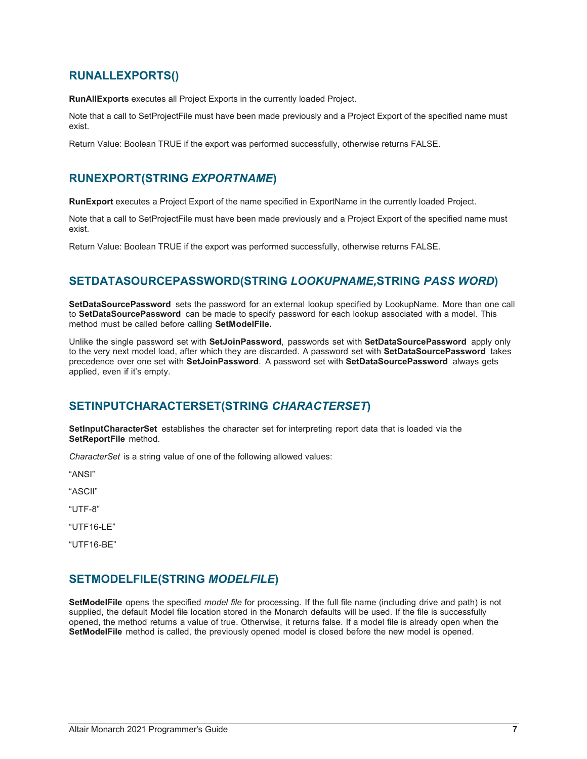#### <span id="page-10-0"></span>**RUNALLEXPORTS()**

**RunAllExports** executes all Project Exports in the currently loaded Project.

Note that a call to SetProjectFile must have been made previously and a Project Export of the specified name must exist.

Return Value: Boolean TRUE if the export was performed successfully, otherwise returns FALSE.

#### <span id="page-10-1"></span>**RUNEXPORT(STRING** *EXPORTNAME***)**

**RunExport** executes a Project Export of the name specified in ExportName in the currently loaded Project.

Note that a call to SetProjectFile must have been made previously and a Project Export of the specified name must exist.

Return Value: Boolean TRUE if the export was performed successfully, otherwise returns FALSE.

#### <span id="page-10-2"></span>**SETDATASOURCEPASSWORD(STRING** *LOOKUPNAME,***STRING** *PASS WORD***)**

**SetDataSourcePassword** sets the password for an external lookup specified by LookupName. More than one call to **SetDataSourcePassword** can be made to specify password for each lookup associated with a model. This method must be called before calling **SetModelFile.**

Unlike the single password set with **SetJoinPassword**, passwords set with **SetDataSourcePassword** apply only to the very next model load, after which they are discarded. A password set with **SetDataSourcePassword** takes precedence over one set with **SetJoinPassword**. A password set with **SetDataSourcePassword** always gets applied, even if it's empty.

#### <span id="page-10-3"></span>**SETINPUTCHARACTERSET(STRING** *CHARACTERSET***)**

**SetInputCharacterSet** establishes the character set for interpreting report data that is loaded via the **SetReportFile** method.

*CharacterSet* is a string value of one of the following allowed values:

"ANSI"

"ASCII"

"UTF-8"

"UTF16-LE"

"UTF16-BE"

#### <span id="page-10-4"></span>**SETMODELFILE(STRING** *MODELFILE***)**

**SetModelFile** opens the specified *model file* for processing. If the full file name (including drive and path) is not supplied, the default Model file location stored in the Monarch defaults will be used. If the file is successfully opened, the method returns a value of true. Otherwise, it returns false. If a model file is already open when the **SetModelFile** method is called, the previously opened model is closed before the new model is opened.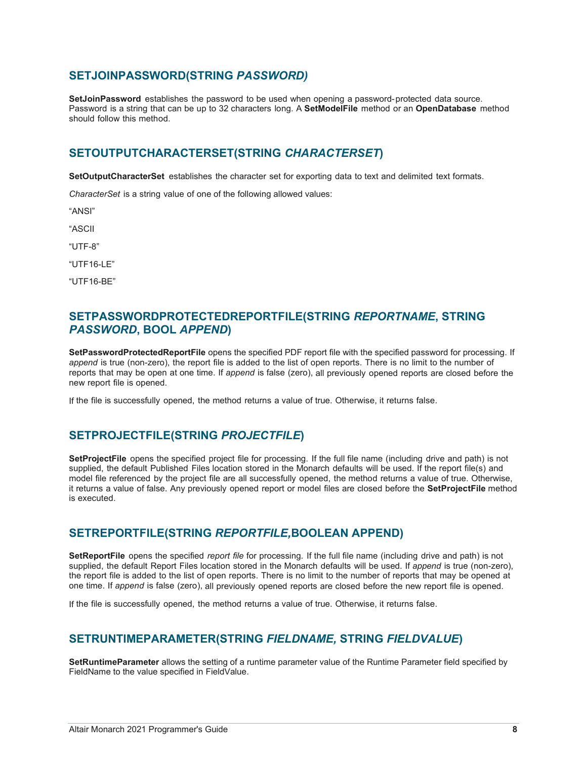#### <span id="page-11-0"></span>**SETJOINPASSWORD(STRING** *PASSWORD)*

**SetJoinPassword** establishes the password to be used when opening a password-protected data source. Password is a string that can be up to 32 characters long. A **SetModelFile** method or an **OpenDatabase** method should follow this method.

#### <span id="page-11-1"></span>**SETOUTPUTCHARACTERSET(STRING** *CHARACTERSET***)**

**SetOutputCharacterSet** establishes the character set for exporting data to text and delimited text formats.

*CharacterSet* is a string value of one of the following allowed values:

"ANSI"

"ASCII

"UTF-8"

"UTF16-LE"

"UTF16-BE"

#### <span id="page-11-2"></span>**SETPASSWORDPROTECTEDREPORTFILE(STRING** *REPORTNAME***, STRING**  *PASSWORD***, BOOL** *APPEND***)**

**SetPasswordProtectedReportFile** opens the specified PDF report file with the specified password for processing. If *append* is true (non-zero), the report file is added to the list of open reports. There is no limit to the number of reports that may be open at one time. If *append* is false (zero), all previously opened reports are closed before the new report file is opened.

If the file is successfully opened, the method returns a value of true. Otherwise, it returns false.

#### <span id="page-11-3"></span>**SETPROJECTFILE(STRING** *PROJECTFILE***)**

**SetProjectFile** opens the specified project file for processing. If the full file name (including drive and path) is not supplied, the default Published Files location stored in the Monarch defaults will be used. If the report file(s) and model file referenced by the project file are all successfully opened, the method returns a value of true. Otherwise, it returns a value of false. Any previously opened report or model files are closed before the **SetProjectFile** method is executed.

#### <span id="page-11-4"></span>**SETREPORTFILE(STRING** *REPORTFILE,***BOOLEAN APPEND)**

**SetReportFile** opens the specified *report file* for processing. If the full file name (including drive and path) is not supplied, the default Report Files location stored in the Monarch defaults will be used. If *append* is true (non-zero), the report file is added to the list of open reports. There is no limit to the number of reports that may be opened at one time. If *append* is false (zero), all previously opened reports are closed before the new report file is opened.

If the file is successfully opened, the method returns a value of true. Otherwise, it returns false.

#### <span id="page-11-5"></span>**SETRUNTIMEPARAMETER(STRING** *FIELDNAME,* **STRING** *FIELDVALUE***)**

**SetRuntimeParameter** allows the setting of a runtime parameter value of the Runtime Parameter field specified by FieldName to the value specified in FieldValue.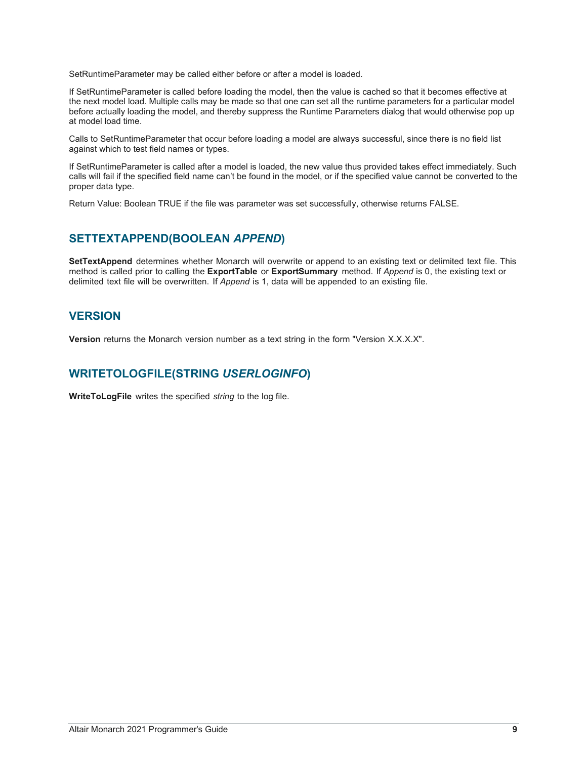SetRuntimeParameter may be called either before or after a model is loaded.

If SetRuntimeParameter is called before loading the model, then the value is cached so that it becomes effective at the next model load. Multiple calls may be made so that one can set all the runtime parameters for a particular model before actually loading the model, and thereby suppress the Runtime Parameters dialog that would otherwise pop up at model load time.

Calls to SetRuntimeParameter that occur before loading a model are always successful, since there is no field list against which to test field names or types.

If SetRuntimeParameter is called after a model is loaded, the new value thus provided takes effect immediately. Such calls will fail if the specified field name can't be found in the model, or if the specified value cannot be converted to the proper data type.

Return Value: Boolean TRUE if the file was parameter was set successfully, otherwise returns FALSE.

#### <span id="page-12-0"></span>**SETTEXTAPPEND(BOOLEAN** *APPEND***)**

**SetTextAppend** determines whether Monarch will overwrite or append to an existing text or delimited text file. This method is called prior to calling the **ExportTable** or **ExportSummary** method. If *Append* is 0, the existing text or delimited text file will be overwritten. If *Append* is 1, data will be appended to an existing file.

#### <span id="page-12-1"></span>**VERSION**

**Version** returns the Monarch version number as a text string in the form "Version X.X.X.X".

#### <span id="page-12-2"></span>**WRITETOLOGFILE(STRING** *USERLOGINFO***)**

**WriteToLogFile** writes the specified *string* to the log file.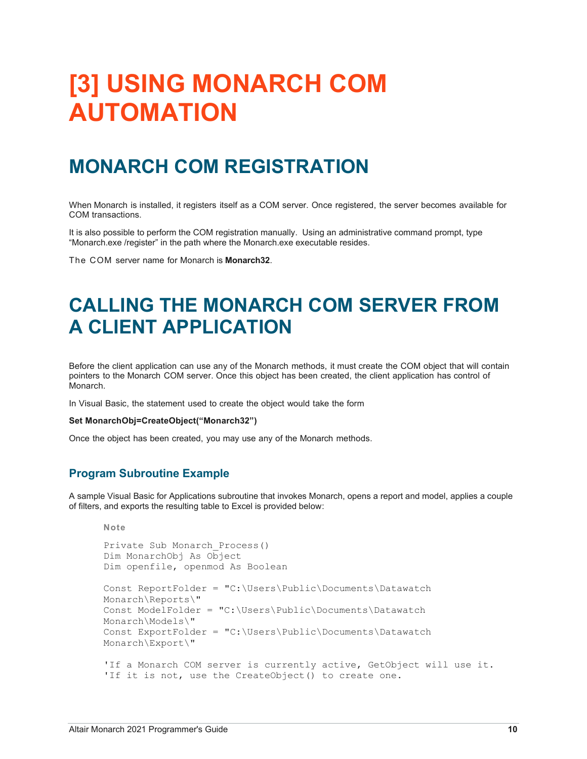## <span id="page-13-0"></span>**[3] USING MONARCH COM AUTOMATION**

### <span id="page-13-1"></span>**MONARCH COM REGISTRATION**

When Monarch is installed, it registers itself as a COM server. Once registered, the server becomes available for COM transactions.

It is also possible to perform the COM registration manually. Using an administrative command prompt, type "Monarch.exe /register" in the path where the Monarch.exe executable resides.

<span id="page-13-2"></span>The COM server name for Monarch is **Monarch32**.

## **CALLING THE MONARCH COM SERVER FROM A CLIENT APPLICATION**

Before the client application can use any of the Monarch methods, it must create the COM object that will contain pointers to the Monarch COM server. Once this object has been created, the client application has control of Monarch.

In Visual Basic, the statement used to create the object would take the form

#### **Set MonarchObj=CreateObject("Monarch32")**

Once the object has been created, you may use any of the Monarch methods.

#### <span id="page-13-3"></span>**Program Subroutine Example**

A sample Visual Basic for Applications subroutine that invokes Monarch, opens a report and model, applies a couple of filters, and exports the resulting table to Excel is provided below:

```
Note
Private Sub Monarch_Process()
Dim MonarchObj As Object
Dim openfile, openmod As Boolean
Const ReportFolder = "C:\Users\Public\Documents\Datawatch 
Monarch\Reports\"
Const ModelFolder = "C:\Users\Public\Documents\Datawatch 
Monarch\Models\"
Const ExportFolder = "C:\Users\Public\Documents\Datawatch 
Monarch\Export\"
'If a Monarch COM server is currently active, GetObject will use it.
'If it is not, use the CreateObject() to create one.
```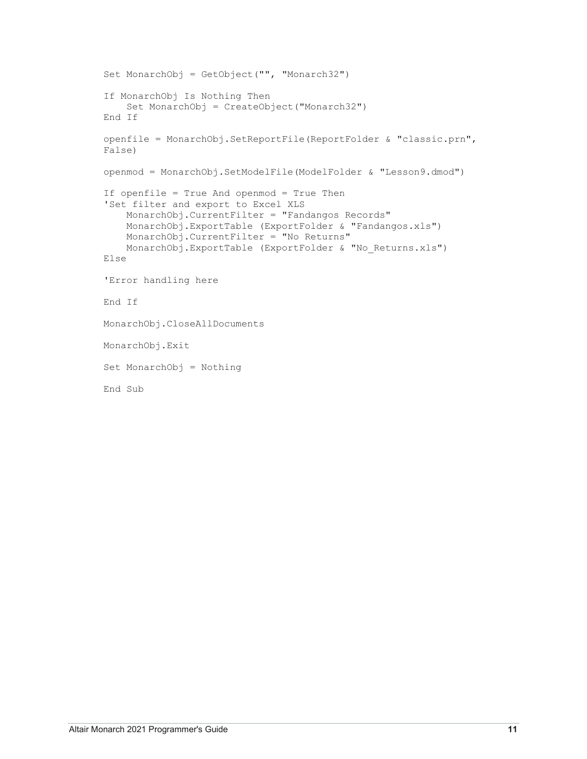```
Set MonarchObj = GetObject("", "Monarch32")
If MonarchObj Is Nothing Then
     Set MonarchObj = CreateObject("Monarch32")
End If
openfile = MonarchObj.SetReportFile(ReportFolder & "classic.prn", 
False)
openmod = MonarchObj.SetModelFile(ModelFolder & "Lesson9.dmod")
If openfile = True And openmod = True Then
'Set filter and export to Excel XLS
     MonarchObj.CurrentFilter = "Fandangos Records"
     MonarchObj.ExportTable (ExportFolder & "Fandangos.xls")
     MonarchObj.CurrentFilter = "No Returns"
     MonarchObj.ExportTable (ExportFolder & "No_Returns.xls")
Else
'Error handling here
End If
MonarchObj.CloseAllDocuments
MonarchObj.Exit
Set MonarchObj = Nothing
End Sub
```